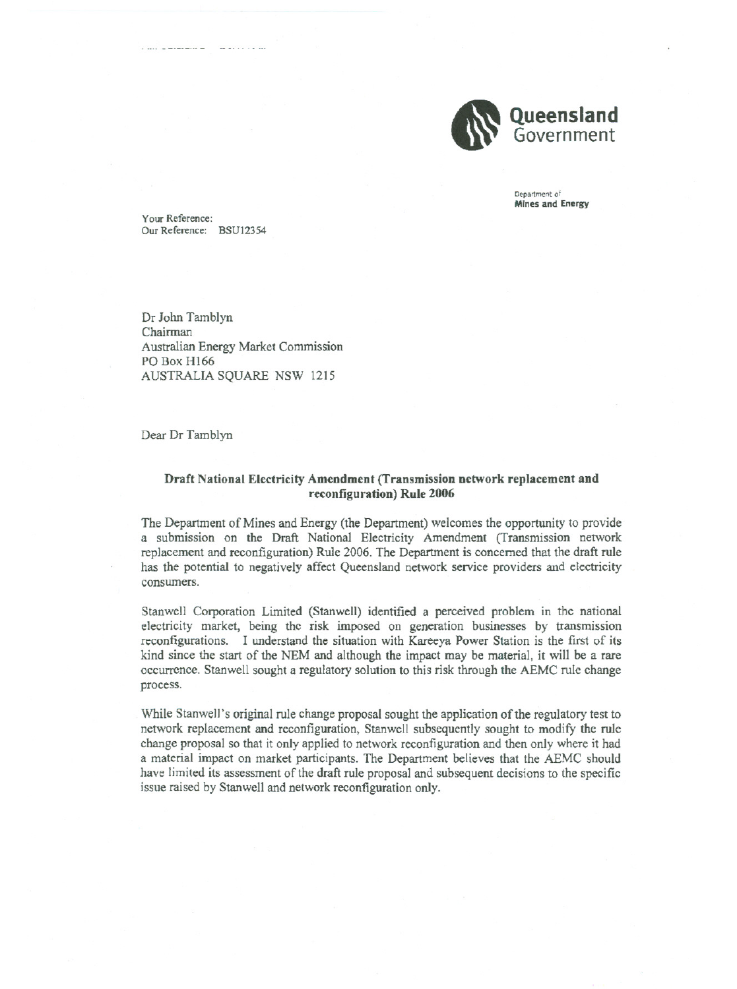

Department of Mines and Energy

Your Reference: Our Reference: BSU12354

- nn - 0--- -- \_0 - - - nO

Or John Tamblyn Chairman Australian Energy Market Commission PO Box H166 AUSTRALIA SQUARE NSW 1215

Dear Dr Tamblyn

## Draft National Electricity Amendment (Transmission network replacement and reconfiguration) Rule 2006

The Department of Mines and Energy (the Department) welcomes the opportunity to provide a submission on the Draft National Electricity Amendment (Transmission network replacement and reconfiguration) Rule 2006. The Department is concerned that the draft rule has the potential to negatively affect Queensland network service providers and electricity consumers.

Stanwell Corporation Limited (Stanwell) identified a perceived problem in the national electricity market, being the risk imposed on generation businesses by transmission reconfigurations. I understand the situation with Kareeya Power Station is the first of its kind since the start of the NEM and although the impact may be material, it will be a rare occurrence. Stanwell sought a regulatory solution to this risk through the AEMC rule change process.

While Stanwell's original rule change proposal sought the application of the regulatory test to network replacement and reconfiguration, Stanwell subsequently sought to modify the rule change proposal so that it only applied to network reconfiguration and then only where it had a material impact on market participants. The Department believes that the AEMC should have limited its assessment of the draft rule proposal and subsequent decisions to the specific issue raised by Stanwell and network reconfiguration only.